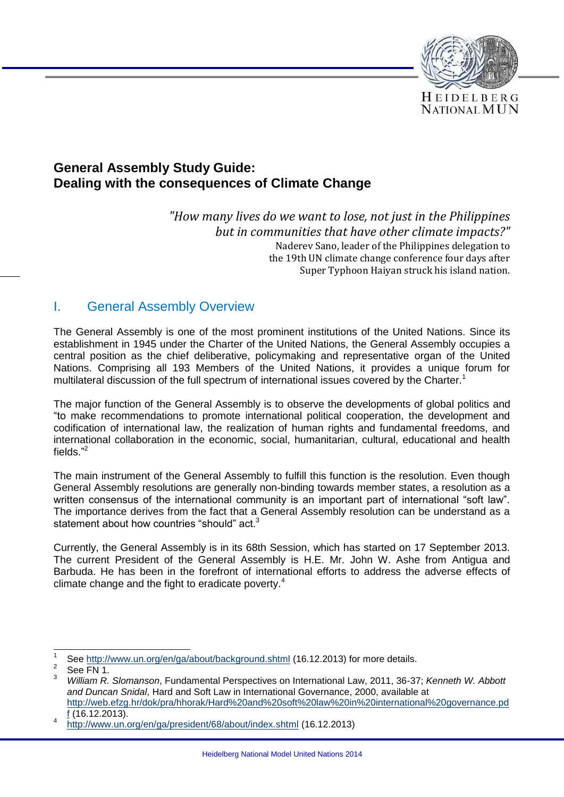

### **General Assembly Study Guide: Dealing with the consequences of Climate Change**

*"How many lives do we want to lose, not just in the Philippines but in communities that have other climate impacts?"* Naderev Sano, leader of the Philippines delegation to the 19th UN climate change conference four days after Super Typhoon Haiyan struck his island nation.

#### I. General Assembly Overview

The General Assembly is one of the most prominent institutions of the United Nations. Since its establishment in 1945 under the Charter of the United Nations, the General Assembly occupies a central position as the chief deliberative, policymaking and representative organ of the United Nations. Comprising all 193 Members of the United Nations, it provides a unique forum for multilateral discussion of the full spectrum of international issues covered by the Charter.<sup>1</sup>

The major function of the General Assembly is to observe the developments of global politics and "to make recommendations to promote international political cooperation, the development and codification of international law, the realization of human rights and fundamental freedoms, and international collaboration in the economic, social, humanitarian, cultural, educational and health fields." 2

The main instrument of the General Assembly to fulfill this function is the resolution. Even though General Assembly resolutions are generally non-binding towards member states, a resolution as a written consensus of the international community is an important part of international "soft law". The importance derives from the fact that a General Assembly resolution can be understand as a statement about how countries "should" act.<sup>3</sup>

Currently, the General Assembly is in its 68th Session, which has started on 17 September 2013. The current President of the General Assembly is H.E. Mr. John W. Ashe from Antigua and Barbuda. He has been in the forefront of international efforts to address the adverse effects of climate change and the fight to eradicate poverty.<sup>4</sup>

 $\overline{\phantom{a}}$ 1 See<http://www.un.org/en/ga/about/background.shtml> (16.12.2013) for more details.

<sup>2</sup> See FN 1

<sup>3</sup> *William R. Slomanson*, Fundamental Perspectives on International Law, 2011, 36-37; *Kenneth W. Abbott and Duncan Snidal*, Hard and Soft Law in International Governance, 2000, available at [http://web.efzg.hr/dok/pra/hhorak/Hard%20and%20soft%20law%20in%20international%20governance.pd](http://web.efzg.hr/dok/pra/hhorak/Hard%20and%20soft%20law%20in%20international%20governance.pdf) [f](http://web.efzg.hr/dok/pra/hhorak/Hard%20and%20soft%20law%20in%20international%20governance.pdf) (16.12.2013).

<sup>4</sup> <http://www.un.org/en/ga/president/68/about/index.shtml> (16.12.2013)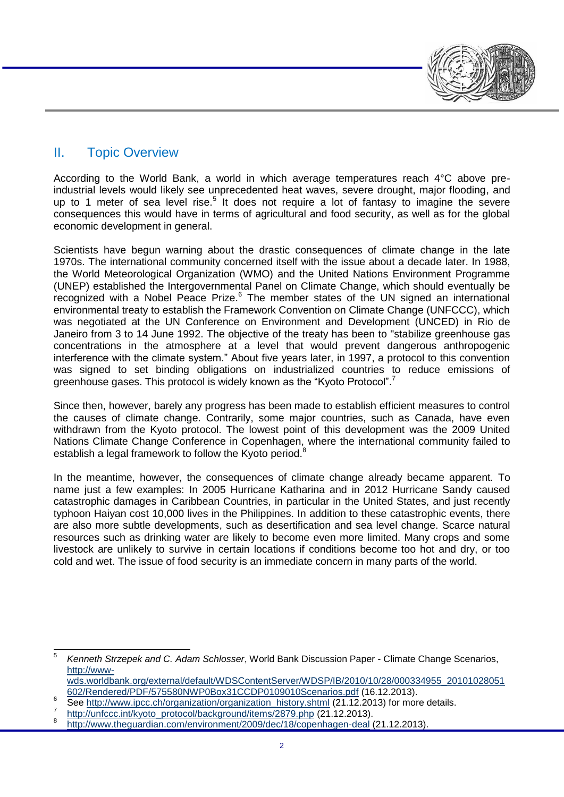# II. Topic Overview

According to the World Bank, a world in which average temperatures reach 4°C above preindustrial levels would likely see unprecedented heat waves, severe drought, major flooding, and up to 1 meter of sea level rise.<sup>5</sup> It does not require a lot of fantasy to imagine the severe consequences this would have in terms of agricultural and food security, as well as for the global economic development in general.

Scientists have begun warning about the drastic consequences of climate change in the late 1970s. The international community concerned itself with the issue about a decade later. In 1988, the World Meteorological Organization (WMO) and the United Nations Environment Programme (UNEP) established the Intergovernmental Panel on Climate Change, which should eventually be recognized with a Nobel Peace Prize. $6$  The member states of the UN signed an international environmental treaty to establish the Framework Convention on Climate Change (UNFCCC), which was negotiated at the UN Conference on Environment and Development (UNCED) in Rio de Janeiro from 3 to 14 June 1992. The objective of the treaty has been to "stabilize greenhouse gas concentrations in the atmosphere at a level that would prevent dangerous anthropogenic interference with the climate system." About five years later, in 1997, a protocol to this convention was signed to set binding obligations on industrialized countries to reduce emissions of greenhouse gases. This protocol is widely known as the "Kyoto Protocol".<sup>7</sup>

Since then, however, barely any progress has been made to establish efficient measures to control the causes of climate change. Contrarily, some major countries, such as Canada, have even withdrawn from the Kyoto protocol. The lowest point of this development was the 2009 United Nations Climate Change Conference in Copenhagen, where the international community failed to establish a legal framework to follow the Kyoto period.<sup>8</sup>

In the meantime, however, the consequences of climate change already became apparent. To name just a few examples: In 2005 Hurricane Katharina and in 2012 Hurricane Sandy caused catastrophic damages in Caribbean Countries, in particular in the United States, and just recently typhoon Haiyan cost 10,000 lives in the Philippines. In addition to these catastrophic events, there are also more subtle developments, such as desertification and sea level change. Scarce natural resources such as drinking water are likely to become even more limited. Many crops and some livestock are unlikely to survive in certain locations if conditions become too hot and dry, or too cold and wet. The issue of food security is an immediate concern in many parts of the world.

 $\frac{1}{5}$ *Kenneth Strzepek and C. Adam Schlosser*, World Bank Discussion Paper - Climate Change Scenarios, [http://www-](http://www-wds.worldbank.org/external/default/WDSContentServer/WDSP/IB/2010/10/28/000334955_20101028051602/Rendered/PDF/575580NWP0Box31CCDP0109010Scenarios.pdf)

[wds.worldbank.org/external/default/WDSContentServer/WDSP/IB/2010/10/28/000334955\\_20101028051](http://www-wds.worldbank.org/external/default/WDSContentServer/WDSP/IB/2010/10/28/000334955_20101028051602/Rendered/PDF/575580NWP0Box31CCDP0109010Scenarios.pdf) [602/Rendered/PDF/575580NWP0Box31CCDP0109010Scenarios.pdf](http://www-wds.worldbank.org/external/default/WDSContentServer/WDSP/IB/2010/10/28/000334955_20101028051602/Rendered/PDF/575580NWP0Box31CCDP0109010Scenarios.pdf) (16.12.2013).

<sup>6</sup> See [http://www.ipcc.ch/organization/organization\\_history.shtml](http://www.ipcc.ch/organization/organization_history.shtml) (21.12.2013) for more details.

<sup>7</sup> [http://unfccc.int/kyoto\\_protocol/background/items/2879.php](http://unfccc.int/kyoto_protocol/background/items/2879.php) (21.12.2013).

<sup>8</sup> <http://www.theguardian.com/environment/2009/dec/18/copenhagen-deal> (21.12.2013).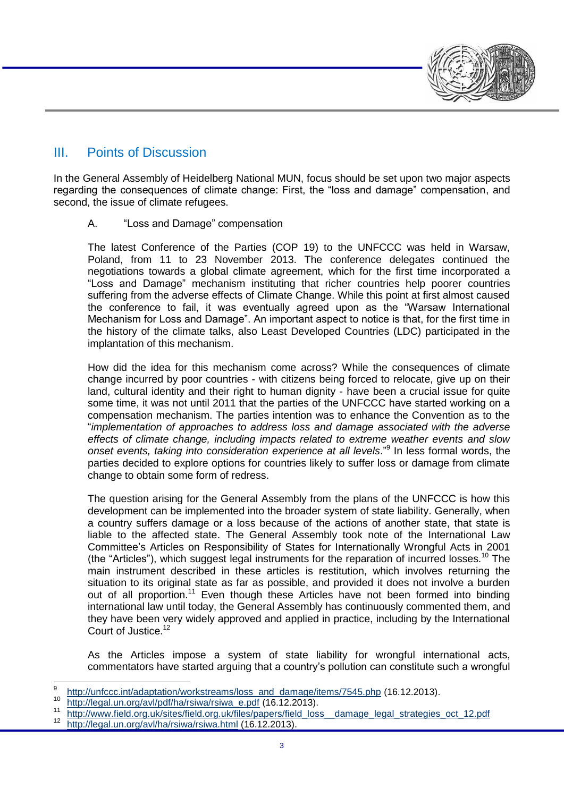

## III. Points of Discussion

In the General Assembly of Heidelberg National MUN, focus should be set upon two major aspects regarding the consequences of climate change: First, the "loss and damage" compensation, and second, the issue of climate refugees.

A. "Loss and Damage" compensation

The latest Conference of the Parties (COP 19) to the UNFCCC was held in Warsaw, Poland, from 11 to 23 November 2013. The conference delegates continued the negotiations towards a global climate agreement, which for the first time incorporated a "Loss and Damage" mechanism instituting that richer countries help poorer countries suffering from the adverse effects of Climate Change. While this point at first almost caused the conference to fail, it was eventually agreed upon as the "Warsaw International Mechanism for Loss and Damage". An important aspect to notice is that, for the first time in the history of the climate talks, also Least Developed Countries (LDC) participated in the implantation of this mechanism.

How did the idea for this mechanism come across? While the consequences of climate change incurred by poor countries - with citizens being forced to relocate, give up on their land, cultural identity and their right to human dignity - have been a crucial issue for quite some time, it was not until 2011 that the parties of the UNFCCC have started working on a compensation mechanism. The parties intention was to enhance the Convention as to the "*implementation of approaches to address loss and damage associated with the adverse effects of climate change, including impacts related to extreme weather events and slow onset events, taking into consideration experience at all levels*." 9 In less formal words, the parties decided to explore options for countries likely to suffer loss or damage from climate change to obtain some form of redress.

The question arising for the General Assembly from the plans of the UNFCCC is how this development can be implemented into the broader system of state liability. Generally, when a country suffers damage or a loss because of the actions of another state, that state is liable to the affected state. The General Assembly took note of the International Law Committee's Articles on Responsibility of States for Internationally Wrongful Acts in 2001 (the "Articles"), which suggest legal instruments for the reparation of incurred losses.<sup>10</sup> The main instrument described in these articles is restitution, which involves returning the situation to its original state as far as possible, and provided it does not involve a burden out of all proportion.<sup>11</sup> Even though these Articles have not been formed into binding international law until today, the General Assembly has continuously commented them, and they have been very widely approved and applied in practice, including by the International Court of Justice.<sup>12</sup>

As the Articles impose a system of state liability for wrongful international acts, commentators have started arguing that a country's pollution can constitute such a wrongful

11 http://www.field.org.uk/sites/field.org.uk/files/papers/field\_loss\_damage\_legal\_strategies\_oct\_12.pdf<br>12 http://logol.up.org/ou//be/rejug/pajug\_btml (16.12.2012)

<sup>–&</sup>lt;br>9 [http://unfccc.int/adaptation/workstreams/loss\\_and\\_damage/items/7545.php](http://unfccc.int/adaptation/workstreams/loss_and_damage/items/7545.php) (16.12.2013).

 $\frac{10}{h(t)/\text{legal.un.} \text{org/avI/pdd/ha/fsiwa/fsiwa/fsiwa/4}}$  e.pdf (16.12.2013).

<http://legal.un.org/avl/ha/rsiwa/rsiwa.html> (16.12.2013).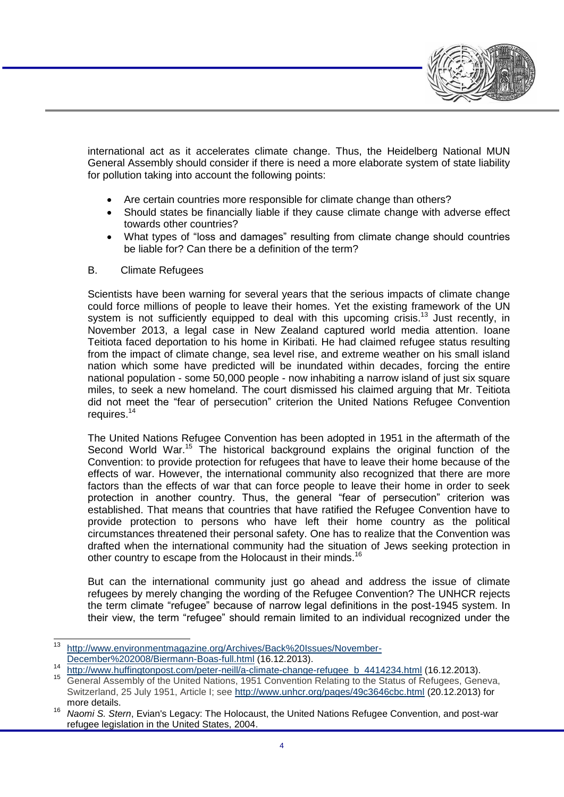

international act as it accelerates climate change. Thus, the Heidelberg National MUN General Assembly should consider if there is need a more elaborate system of state liability for pollution taking into account the following points:

- Are certain countries more responsible for climate change than others?
- Should states be financially liable if they cause climate change with adverse effect towards other countries?
- What types of "loss and damages" resulting from climate change should countries be liable for? Can there be a definition of the term?
- B. Climate Refugees

Scientists have been warning for several years that the serious impacts of climate change could force millions of people to leave their homes. Yet the existing framework of the UN system is not sufficiently equipped to deal with this upcoming crisis.<sup>13</sup> Just recently, in November 2013, a legal case in New Zealand captured world media attention. Ioane Teitiota faced deportation to his home in Kiribati. He had claimed refugee status resulting from the impact of climate change, sea level rise, and extreme weather on his small island nation which some have predicted will be inundated within decades, forcing the entire national population - some 50,000 people - now inhabiting a narrow island of just six square miles, to seek a new homeland. The court dismissed his claimed arguing that Mr. Teitiota did not meet the "fear of persecution" criterion the United Nations Refugee Convention requires.<sup>14</sup>

The United Nations Refugee Convention has been adopted in 1951 in the aftermath of the Second World War.<sup>15</sup> The historical background explains the original function of the Convention: to provide protection for refugees that have to leave their home because of the effects of war. However, the international community also recognized that there are more factors than the effects of war that can force people to leave their home in order to seek protection in another country. Thus, the general "fear of persecution" criterion was established. That means that countries that have ratified the Refugee Convention have to provide protection to persons who have left their home country as the political circumstances threatened their personal safety. One has to realize that the Convention was drafted when the international community had the situation of Jews seeking protection in other country to escape from the Holocaust in their minds.<sup>16</sup>

But can the international community just go ahead and address the issue of climate refugees by merely changing the wording of the Refugee Convention? The UNHCR rejects the term climate "refugee" because of narrow legal definitions in the post-1945 system. In their view, the term "refugee" should remain limited to an individual recognized under the

 $13$ [http://www.environmentmagazine.org/Archives/Back%20Issues/November-](http://www.environmentmagazine.org/Archives/Back%20Issues/November-December%202008/Biermann-Boas-full.html)[December%202008/Biermann-Boas-full.html](http://www.environmentmagazine.org/Archives/Back%20Issues/November-December%202008/Biermann-Boas-full.html) (16.12.2013).

<sup>14</sup> [http://www.huffingtonpost.com/peter-neill/a-climate-change-refugee\\_b\\_4414234.html](http://www.huffingtonpost.com/peter-neill/a-climate-change-refugee_b_4414234.html) (16.12.2013).

<sup>15</sup> General Assembly of the United Nations, 1951 Convention Relating to the Status of Refugees, Geneva, Switzerland, 25 July 1951, Article I; see <http://www.unhcr.org/pages/49c3646cbc.html> (20.12.2013) for more details.

<sup>16</sup> *Naomi S. Stern*, Evian's Legacy: The Holocaust, the United Nations Refugee Convention, and post-war refugee legislation in the United States, 2004.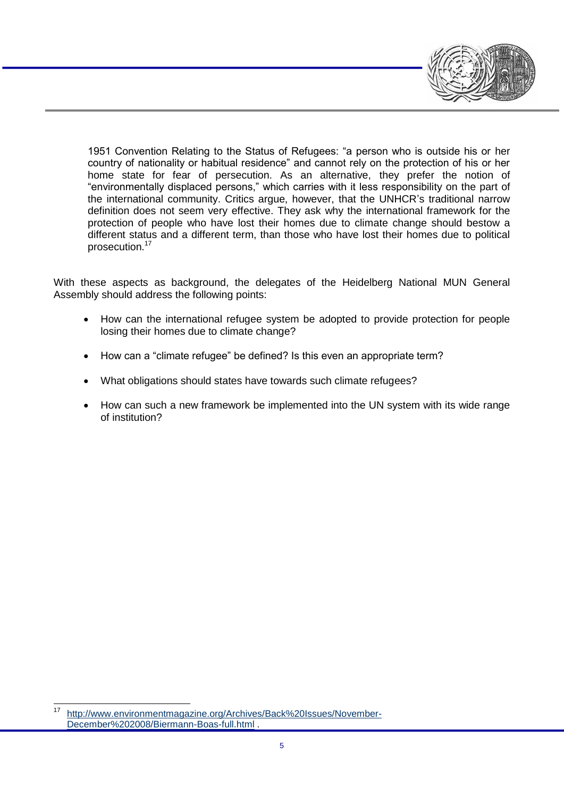1951 Convention Relating to the Status of Refugees: "a person who is outside his or her country of nationality or habitual residence" and cannot rely on the protection of his or her home state for fear of persecution. As an alternative, they prefer the notion of "environmentally displaced persons," which carries with it less responsibility on the part of the international community. Critics argue, however, that the UNHCR's traditional narrow definition does not seem very effective. They ask why the international framework for the protection of people who have lost their homes due to climate change should bestow a different status and a different term, than those who have lost their homes due to political prosecution.<sup>17</sup>

With these aspects as background, the delegates of the Heidelberg National MUN General Assembly should address the following points:

- How can the international refugee system be adopted to provide protection for people losing their homes due to climate change?
- How can a "climate refugee" be defined? Is this even an appropriate term?
- What obligations should states have towards such climate refugees?
- How can such a new framework be implemented into the UN system with its wide range of institution?

[http://www.environmentmagazine.org/Archives/Back%20Issues/November-](http://www.environmentmagazine.org/Archives/Back%20Issues/November-December%202008/Biermann-Boas-full.html)[December%202008/Biermann-Boas-full.html](http://www.environmentmagazine.org/Archives/Back%20Issues/November-December%202008/Biermann-Boas-full.html) .